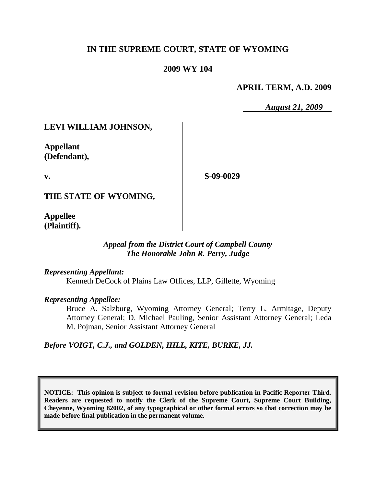# **IN THE SUPREME COURT, STATE OF WYOMING**

### **2009 WY 104**

### **APRIL TERM, A.D. 2009**

*August 21, 2009*

# **LEVI WILLIAM JOHNSON,**

**Appellant (Defendant),**

**v.**

**S-09-0029**

**THE STATE OF WYOMING,**

**Appellee (Plaintiff).**

#### *Appeal from the District Court of Campbell County The Honorable John R. Perry, Judge*

*Representing Appellant:* Kenneth DeCock of Plains Law Offices, LLP, Gillette, Wyoming

*Representing Appellee:*

Bruce A. Salzburg, Wyoming Attorney General; Terry L. Armitage, Deputy Attorney General; D. Michael Pauling, Senior Assistant Attorney General; Leda M. Pojman, Senior Assistant Attorney General

*Before VOIGT, C.J., and GOLDEN, HILL, KITE, BURKE, JJ.*

**NOTICE: This opinion is subject to formal revision before publication in Pacific Reporter Third. Readers are requested to notify the Clerk of the Supreme Court, Supreme Court Building, Cheyenne, Wyoming 82002, of any typographical or other formal errors so that correction may be made before final publication in the permanent volume.**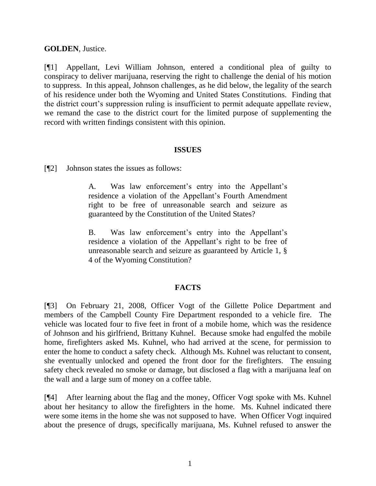#### **GOLDEN**, Justice.

[¶1] Appellant, Levi William Johnson, entered a conditional plea of guilty to conspiracy to deliver marijuana, reserving the right to challenge the denial of his motion to suppress. In this appeal, Johnson challenges, as he did below, the legality of the search of his residence under both the Wyoming and United States Constitutions. Finding that the district court's suppression ruling is insufficient to permit adequate appellate review, we remand the case to the district court for the limited purpose of supplementing the record with written findings consistent with this opinion.

#### **ISSUES**

[¶2] Johnson states the issues as follows:

A. Was law enforcement's entry into the Appellant's residence a violation of the Appellant's Fourth Amendment right to be free of unreasonable search and seizure as guaranteed by the Constitution of the United States?

B. Was law enforcement's entry into the Appellant's residence a violation of the Appellant"s right to be free of unreasonable search and seizure as guaranteed by Article 1, § 4 of the Wyoming Constitution?

## **FACTS**

[¶3] On February 21, 2008, Officer Vogt of the Gillette Police Department and members of the Campbell County Fire Department responded to a vehicle fire. The vehicle was located four to five feet in front of a mobile home, which was the residence of Johnson and his girlfriend, Brittany Kuhnel. Because smoke had engulfed the mobile home, firefighters asked Ms. Kuhnel, who had arrived at the scene, for permission to enter the home to conduct a safety check. Although Ms. Kuhnel was reluctant to consent, she eventually unlocked and opened the front door for the firefighters. The ensuing safety check revealed no smoke or damage, but disclosed a flag with a marijuana leaf on the wall and a large sum of money on a coffee table.

[¶4] After learning about the flag and the money, Officer Vogt spoke with Ms. Kuhnel about her hesitancy to allow the firefighters in the home. Ms. Kuhnel indicated there were some items in the home she was not supposed to have. When Officer Vogt inquired about the presence of drugs, specifically marijuana, Ms. Kuhnel refused to answer the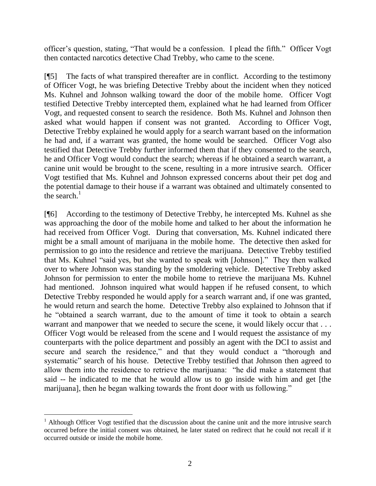officer"s question, stating, "That would be a confession. I plead the fifth." Officer Vogt then contacted narcotics detective Chad Trebby, who came to the scene.

[¶5] The facts of what transpired thereafter are in conflict. According to the testimony of Officer Vogt, he was briefing Detective Trebby about the incident when they noticed Ms. Kuhnel and Johnson walking toward the door of the mobile home. Officer Vogt testified Detective Trebby intercepted them, explained what he had learned from Officer Vogt, and requested consent to search the residence. Both Ms. Kuhnel and Johnson then asked what would happen if consent was not granted. According to Officer Vogt, Detective Trebby explained he would apply for a search warrant based on the information he had and, if a warrant was granted, the home would be searched. Officer Vogt also testified that Detective Trebby further informed them that if they consented to the search, he and Officer Vogt would conduct the search; whereas if he obtained a search warrant, a canine unit would be brought to the scene, resulting in a more intrusive search. Officer Vogt testified that Ms. Kuhnel and Johnson expressed concerns about their pet dog and the potential damage to their house if a warrant was obtained and ultimately consented to the search. $1$ 

[¶6] According to the testimony of Detective Trebby, he intercepted Ms. Kuhnel as she was approaching the door of the mobile home and talked to her about the information he had received from Officer Vogt. During that conversation, Ms. Kuhnel indicated there might be a small amount of marijuana in the mobile home. The detective then asked for permission to go into the residence and retrieve the marijuana. Detective Trebby testified that Ms. Kuhnel "said yes, but she wanted to speak with [Johnson]." They then walked over to where Johnson was standing by the smoldering vehicle. Detective Trebby asked Johnson for permission to enter the mobile home to retrieve the marijuana Ms. Kuhnel had mentioned. Johnson inquired what would happen if he refused consent, to which Detective Trebby responded he would apply for a search warrant and, if one was granted, he would return and search the home. Detective Trebby also explained to Johnson that if he "obtained a search warrant, due to the amount of time it took to obtain a search warrant and manpower that we needed to secure the scene, it would likely occur that ... Officer Vogt would be released from the scene and I would request the assistance of my counterparts with the police department and possibly an agent with the DCI to assist and secure and search the residence," and that they would conduct a "thorough and systematic" search of his house. Detective Trebby testified that Johnson then agreed to allow them into the residence to retrieve the marijuana: "he did make a statement that said -- he indicated to me that he would allow us to go inside with him and get [the marijuana], then he began walking towards the front door with us following."

 $\overline{a}$ 

 $1$  Although Officer Vogt testified that the discussion about the canine unit and the more intrusive search occurred before the initial consent was obtained, he later stated on redirect that he could not recall if it occurred outside or inside the mobile home.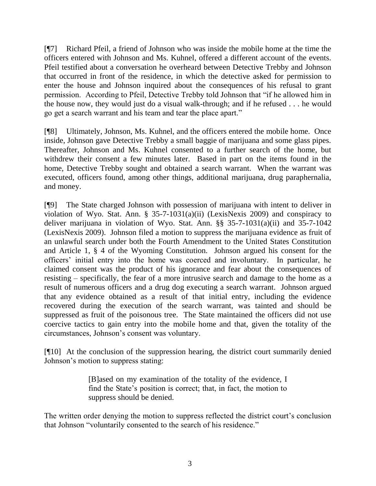[¶7] Richard Pfeil, a friend of Johnson who was inside the mobile home at the time the officers entered with Johnson and Ms. Kuhnel, offered a different account of the events. Pfeil testified about a conversation he overheard between Detective Trebby and Johnson that occurred in front of the residence, in which the detective asked for permission to enter the house and Johnson inquired about the consequences of his refusal to grant permission. According to Pfeil, Detective Trebby told Johnson that "if he allowed him in the house now, they would just do a visual walk-through; and if he refused . . . he would go get a search warrant and his team and tear the place apart."

[¶8] Ultimately, Johnson, Ms. Kuhnel, and the officers entered the mobile home. Once inside, Johnson gave Detective Trebby a small baggie of marijuana and some glass pipes. Thereafter, Johnson and Ms. Kuhnel consented to a further search of the home, but withdrew their consent a few minutes later. Based in part on the items found in the home, Detective Trebby sought and obtained a search warrant. When the warrant was executed, officers found, among other things, additional marijuana, drug paraphernalia, and money.

[¶9] The State charged Johnson with possession of marijuana with intent to deliver in violation of Wyo. Stat. Ann. § 35-7-1031(a)(ii) (LexisNexis 2009) and conspiracy to deliver marijuana in violation of Wyo. Stat. Ann. §§ 35-7-1031(a)(ii) and 35-7-1042 (LexisNexis 2009). Johnson filed a motion to suppress the marijuana evidence as fruit of an unlawful search under both the Fourth Amendment to the United States Constitution and Article 1, § 4 of the Wyoming Constitution. Johnson argued his consent for the officers" initial entry into the home was coerced and involuntary. In particular, he claimed consent was the product of his ignorance and fear about the consequences of resisting – specifically, the fear of a more intrusive search and damage to the home as a result of numerous officers and a drug dog executing a search warrant. Johnson argued that any evidence obtained as a result of that initial entry, including the evidence recovered during the execution of the search warrant, was tainted and should be suppressed as fruit of the poisonous tree. The State maintained the officers did not use coercive tactics to gain entry into the mobile home and that, given the totality of the circumstances, Johnson"s consent was voluntary.

[¶10] At the conclusion of the suppression hearing, the district court summarily denied Johnson"s motion to suppress stating:

> [B]ased on my examination of the totality of the evidence, I find the State's position is correct; that, in fact, the motion to suppress should be denied.

The written order denying the motion to suppress reflected the district court's conclusion that Johnson "voluntarily consented to the search of his residence."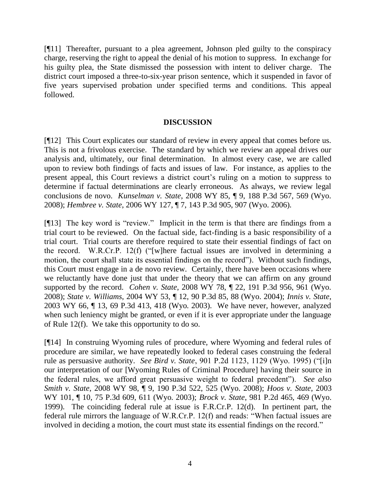[¶11] Thereafter, pursuant to a plea agreement, Johnson pled guilty to the conspiracy charge, reserving the right to appeal the denial of his motion to suppress. In exchange for his guilty plea, the State dismissed the possession with intent to deliver charge. The district court imposed a three-to-six-year prison sentence, which it suspended in favor of five years supervised probation under specified terms and conditions. This appeal followed.

#### **DISCUSSION**

[¶12] This Court explicates our standard of review in every appeal that comes before us. This is not a frivolous exercise. The standard by which we review an appeal drives our analysis and, ultimately, our final determination. In almost every case, we are called upon to review both findings of facts and issues of law. For instance, as applies to the present appeal, this Court reviews a district court"s ruling on a motion to suppress to determine if factual determinations are clearly erroneous. As always, we review legal conclusions de novo. *Kunselman v. State*, 2008 WY 85, ¶ 9, 188 P.3d 567, 569 (Wyo. 2008); *Hembree v. State*, 2006 WY 127, ¶ 7, 143 P.3d 905, 907 (Wyo. 2006).

[¶13] The key word is "review." Implicit in the term is that there are findings from a trial court to be reviewed. On the factual side, fact-finding is a basic responsibility of a trial court. Trial courts are therefore required to state their essential findings of fact on the record. W.R.Cr.P. 12(f) ("[w]here factual issues are involved in determining a motion, the court shall state its essential findings on the record"). Without such findings, this Court must engage in a de novo review. Certainly, there have been occasions where we reluctantly have done just that under the theory that we can affirm on any ground supported by the record. *Cohen v. State*, 2008 WY 78, ¶ 22, 191 P.3d 956, 961 (Wyo. 2008); *State v. Williams*, 2004 WY 53, ¶ 12, 90 P.3d 85, 88 (Wyo. 2004); *Innis v. State*, 2003 WY 66, ¶ 13, 69 P.3d 413, 418 (Wyo. 2003). We have never, however, analyzed when such leniency might be granted, or even if it is ever appropriate under the language of Rule 12(f). We take this opportunity to do so.

[¶14] In construing Wyoming rules of procedure, where Wyoming and federal rules of procedure are similar, we have repeatedly looked to federal cases construing the federal rule as persuasive authority. *See Bird v. State*, 901 P.2d 1123, 1129 (Wyo. 1995) ("[i]n our interpretation of our [Wyoming Rules of Criminal Procedure] having their source in the federal rules, we afford great persuasive weight to federal precedent"). *See also Smith v. State*, 2008 WY 98, ¶ 9, 190 P.3d 522, 525 (Wyo. 2008); *Hoos v. State*, 2003 WY 101, ¶ 10, 75 P.3d 609, 611 (Wyo. 2003); *Brock v. State*, 981 P.2d 465, 469 (Wyo. 1999). The coinciding federal rule at issue is F.R.Cr.P. 12(d). In pertinent part, the federal rule mirrors the language of W.R.Cr.P. 12(f) and reads: "When factual issues are involved in deciding a motion, the court must state its essential findings on the record."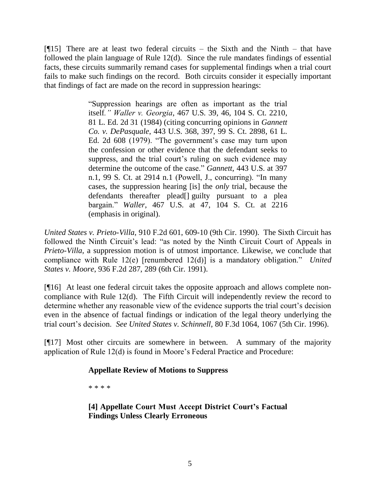[¶15] There are at least two federal circuits – the Sixth and the Ninth – that have followed the plain language of Rule 12(d). Since the rule mandates findings of essential facts, these circuits summarily remand cases for supplemental findings when a trial court fails to make such findings on the record. Both circuits consider it especially important that findings of fact are made on the record in suppression hearings:

> "Suppression hearings are often as important as the trial itself*." Waller v. Georgia*, 467 U.S. 39, 46, 104 S. Ct. 2210, 81 L. Ed. 2d 31 (1984) (citing concurring opinions in *Gannett Co. v. DePasquale*, 443 U.S. 368, 397, 99 S. Ct. 2898, 61 L. Ed. 2d 608 (1979). "The government's case may turn upon the confession or other evidence that the defendant seeks to suppress, and the trial court's ruling on such evidence may determine the outcome of the case." *Gannett*, 443 U.S. at 397 n.1, 99 S. Ct. at 2914 n.1 (Powell, J., concurring). "In many cases, the suppression hearing [is] the *only* trial, because the defendants thereafter plead[] guilty pursuant to a plea bargain." *Waller*, 467 U.S. at 47, 104 S. Ct. at 2216 (emphasis in original).

*United States v. Prieto-Villa*, 910 F.2d 601, 609-10 (9th Cir. 1990). The Sixth Circuit has followed the Ninth Circuit's lead: "as noted by the Ninth Circuit Court of Appeals in *Prieto-Villa*, a suppression motion is of utmost importance. Likewise, we conclude that compliance with Rule 12(e) [renumbered 12(d)] is a mandatory obligation." *United States v. Moore*, 936 F.2d 287, 289 (6th Cir. 1991).

[¶16] At least one federal circuit takes the opposite approach and allows complete noncompliance with Rule 12(d). The Fifth Circuit will independently review the record to determine whether any reasonable view of the evidence supports the trial court's decision even in the absence of factual findings or indication of the legal theory underlying the trial court"s decision. *See United States v. Schinnell*, 80 F.3d 1064, 1067 (5th Cir. 1996).

[¶17] Most other circuits are somewhere in between. A summary of the majority application of Rule 12(d) is found in Moore"s Federal Practice and Procedure:

## **Appellate Review of Motions to Suppress**

\* \* \* \*

**[4] Appellate Court Must Accept District Court's Factual Findings Unless Clearly Erroneous**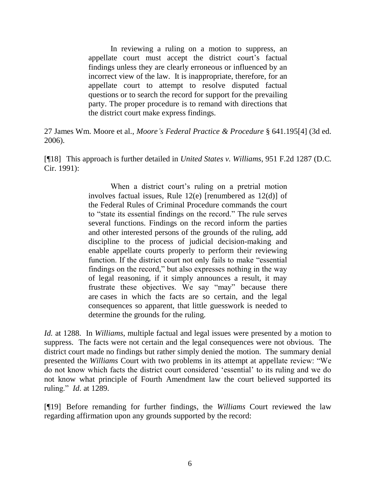In reviewing a ruling on a motion to suppress, an appellate court must accept the district court"s factual findings unless they are clearly erroneous or influenced by an incorrect view of the law. It is inappropriate, therefore, for an appellate court to attempt to resolve disputed factual questions or to search the record for support for the prevailing party. The proper procedure is to remand with directions that the district court make express findings.

27 James Wm. Moore et al., *Moore's Federal Practice & Procedure* § 641.195[4] (3d ed. 2006).

[¶18] This approach is further detailed in *United States v. Williams*, 951 F.2d 1287 (D.C. Cir. 1991):

> When a district court's ruling on a pretrial motion involves factual issues, Rule 12(e) [renumbered as 12(d)] of the Federal Rules of Criminal Procedure commands the court to "state its essential findings on the record." The rule serves several functions. Findings on the record inform the parties and other interested persons of the grounds of the ruling, add discipline to the process of judicial decision-making and enable appellate courts properly to perform their reviewing function. If the district court not only fails to make "essential findings on the record," but also expresses nothing in the way of legal reasoning, if it simply announces a result, it may frustrate these objectives. We say "may" because there are cases in which the facts are so certain, and the legal consequences so apparent, that little guesswork is needed to determine the grounds for the ruling.

*Id.* at 1288. In *Williams*, multiple factual and legal issues were presented by a motion to suppress. The facts were not certain and the legal consequences were not obvious. The district court made no findings but rather simply denied the motion. The summary denial presented the *Williams* Court with two problems in its attempt at appellate review: "We do not know which facts the district court considered "essential" to its ruling and we do not know what principle of Fourth Amendment law the court believed supported its ruling." *Id*. at 1289.

[¶19] Before remanding for further findings, the *Williams* Court reviewed the law regarding affirmation upon any grounds supported by the record: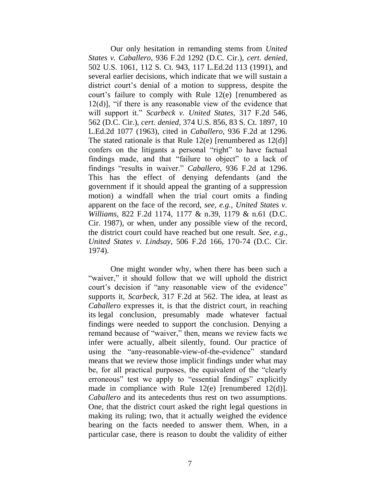Our only hesitation in remanding stems from *United States v. Caballero*, 936 F.2d 1292 (D.C. Cir.), *cert. denied,* 502 U.S. 1061, 112 S. Ct. 943, 117 L.Ed.2d 113 (1991), and several earlier decisions, which indicate that we will sustain a district court's denial of a motion to suppress, despite the court"s failure to comply with Rule 12(e) [renumbered as 12(d)], "if there is any reasonable view of the evidence that will support it." *Scarbeck v. United States*, 317 F.2d 546, 562 (D.C. Cir.), *cert. denied*, 374 U.S. 856, 83 S. Ct. 1897, 10 L.Ed.2d 1077 (1963), cited in *Caballero*, 936 F.2d at 1296. The stated rationale is that Rule  $12(e)$  [renumbered as  $12(d)$ ] confers on the litigants a personal "right" to have factual findings made, and that "failure to object" to a lack of findings "results in waiver." *Caballero*, 936 F.2d at 1296. This has the effect of denying defendants (and the government if it should appeal the granting of a suppression motion) a windfall when the trial court omits a finding apparent on the face of the record, *see, e.g., United States v. Williams*, 822 F.2d 1174, 1177 & n.39, 1179 & n.61 (D.C. Cir. 1987), or when, under any possible view of the record, the district court could have reached but one result. *See, e.g., United States v. Lindsay*, 506 F.2d 166, 170-74 (D.C. Cir. 1974).

One might wonder why, when there has been such a "waiver," it should follow that we will uphold the district court's decision if "any reasonable view of the evidence" supports it, *Scarbeck*, 317 F.2d at 562. The idea, at least as *Caballero* expresses it, is that the district court, in reaching its legal conclusion, presumably made whatever factual findings were needed to support the conclusion. Denying a remand because of "waiver," then, means we review facts we infer were actually, albeit silently, found. Our practice of using the "any-reasonable-view-of-the-evidence" standard means that we review those implicit findings under what may be, for all practical purposes, the equivalent of the "clearly erroneous" test we apply to "essential findings" explicitly made in compliance with Rule 12(e) [renumbered 12(d)]. *Caballero* and its antecedents thus rest on two assumptions. One, that the district court asked the right legal questions in making its ruling; two, that it actually weighed the evidence bearing on the facts needed to answer them. When, in a particular case, there is reason to doubt the validity of either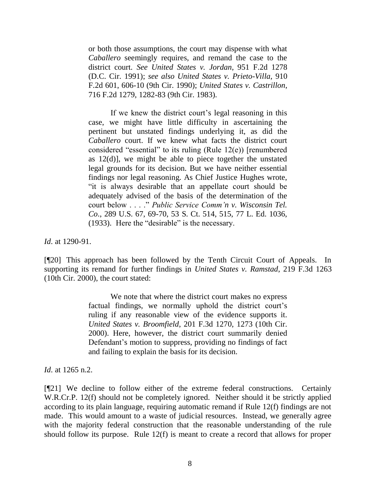or both those assumptions, the court may dispense with what *Caballero* seemingly requires, and remand the case to the district court. *See United States v. Jordan*, 951 F.2d 1278 (D.C. Cir. 1991); *see also United States v. Prieto-Villa*, 910 F.2d 601, 606-10 (9th Cir. 1990); *United States v. Castrillon*, 716 F.2d 1279, 1282-83 (9th Cir. 1983).

If we knew the district court's legal reasoning in this case, we might have little difficulty in ascertaining the pertinent but unstated findings underlying it, as did the *Caballero* court. If we knew what facts the district court considered "essential" to its ruling (Rule 12(e)) [renumbered as 12(d)], we might be able to piece together the unstated legal grounds for its decision. But we have neither essential findings nor legal reasoning. As Chief Justice Hughes wrote, "it is always desirable that an appellate court should be adequately advised of the basis of the determination of the court below . . . ." *Public Service Comm'n v. Wisconsin Tel. Co*., 289 U.S. 67, 69-70, 53 S. Ct. 514, 515, 77 L. Ed. 1036, (1933). Here the "desirable" is the necessary.

*Id*. at 1290-91.

[¶20] This approach has been followed by the Tenth Circuit Court of Appeals. In supporting its remand for further findings in *United States v. Ramstad*, 219 F.3d 1263 (10th Cir. 2000), the court stated:

> We note that where the district court makes no express factual findings, we normally uphold the district court's ruling if any reasonable view of the evidence supports it. *United States v. Broomfield*, 201 F.3d 1270, 1273 (10th Cir. 2000). Here, however, the district court summarily denied Defendant's motion to suppress, providing no findings of fact and failing to explain the basis for its decision.

*Id*. at 1265 n.2.

[¶21] We decline to follow either of the extreme federal constructions. Certainly W.R.Cr.P. 12(f) should not be completely ignored. Neither should it be strictly applied according to its plain language, requiring automatic remand if Rule 12(f) findings are not made. This would amount to a waste of judicial resources. Instead, we generally agree with the majority federal construction that the reasonable understanding of the rule should follow its purpose. Rule 12(f) is meant to create a record that allows for proper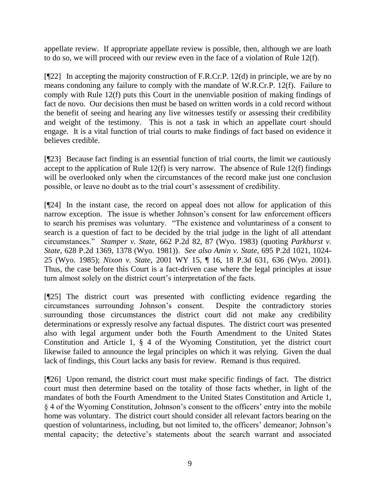appellate review. If appropriate appellate review is possible, then, although we are loath to do so, we will proceed with our review even in the face of a violation of Rule 12(f).

 $[922]$  In accepting the majority construction of F.R.Cr.P. 12(d) in principle, we are by no means condoning any failure to comply with the mandate of W.R.Cr.P. 12(f). Failure to comply with Rule 12(f) puts this Court in the unenviable position of making findings of fact de novo. Our decisions then must be based on written words in a cold record without the benefit of seeing and hearing any live witnesses testify or assessing their credibility and weight of the testimony. This is not a task in which an appellate court should engage. It is a vital function of trial courts to make findings of fact based on evidence it believes credible.

[¶23] Because fact finding is an essential function of trial courts, the limit we cautiously accept to the application of Rule  $12(f)$  is very narrow. The absence of Rule  $12(f)$  findings will be overlooked only when the circumstances of the record make just one conclusion possible, or leave no doubt as to the trial court"s assessment of credibility.

[¶24] In the instant case, the record on appeal does not allow for application of this narrow exception. The issue is whether Johnson"s consent for law enforcement officers to search his premises was voluntary. "The existence and voluntariness of a consent to search is a question of fact to be decided by the trial judge in the light of all attendant circumstances." *Stamper v. State*, 662 P.2d 82, 87 (Wyo. 1983) (quoting *Parkhurst v. State*, 628 P.2d 1369, 1378 (Wyo. 1981)). *See also Amin v. State*, 695 P.2d 1021, 1024- 25 (Wyo. 1985); *Nixon v. State*, 2001 WY 15, ¶ 16, 18 P.3d 631, 636 (Wyo. 2001). Thus, the case before this Court is a fact-driven case where the legal principles at issue turn almost solely on the district court"s interpretation of the facts.

[¶25] The district court was presented with conflicting evidence regarding the circumstances surrounding Johnson"s consent. Despite the contradictory stories surrounding those circumstances the district court did not make any credibility determinations or expressly resolve any factual disputes. The district court was presented also with legal argument under both the Fourth Amendment to the United States Constitution and Article 1, § 4 of the Wyoming Constitution, yet the district court likewise failed to announce the legal principles on which it was relying. Given the dual lack of findings, this Court lacks any basis for review. Remand is thus required.

[¶26] Upon remand, the district court must make specific findings of fact. The district court must then determine based on the totality of those facts whether, in light of the mandates of both the Fourth Amendment to the United States Constitution and Article 1, § 4 of the Wyoming Constitution, Johnson"s consent to the officers" entry into the mobile home was voluntary. The district court should consider all relevant factors bearing on the question of voluntariness, including, but not limited to, the officers' demeanor; Johnson's mental capacity; the detective's statements about the search warrant and associated